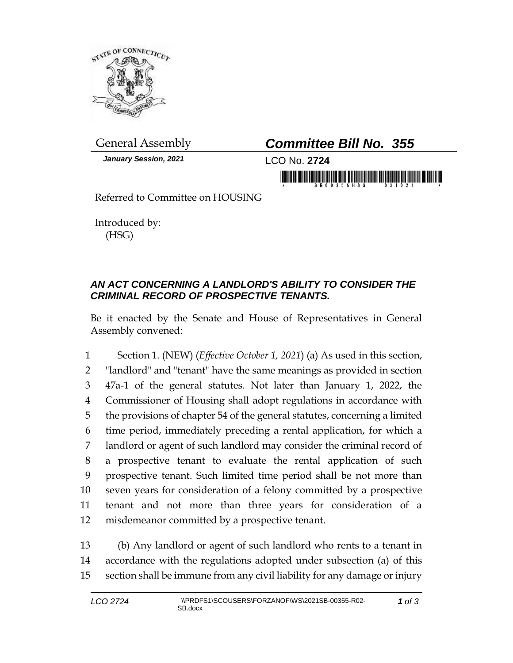

*January Session, 2021* LCO No. **2724**

## General Assembly *Committee Bill No. 355*

in munumi da babidada da mudada bir

Referred to Committee on HOUSING

Introduced by: (HSG)

## *AN ACT CONCERNING A LANDLORD'S ABILITY TO CONSIDER THE CRIMINAL RECORD OF PROSPECTIVE TENANTS.*

Be it enacted by the Senate and House of Representatives in General Assembly convened:

 Section 1. (NEW) (*Effective October 1, 2021*) (a) As used in this section, "landlord" and "tenant" have the same meanings as provided in section 47a-1 of the general statutes. Not later than January 1, 2022, the Commissioner of Housing shall adopt regulations in accordance with the provisions of chapter 54 of the general statutes, concerning a limited time period, immediately preceding a rental application, for which a landlord or agent of such landlord may consider the criminal record of a prospective tenant to evaluate the rental application of such prospective tenant. Such limited time period shall be not more than seven years for consideration of a felony committed by a prospective tenant and not more than three years for consideration of a misdemeanor committed by a prospective tenant.

13 (b) Any landlord or agent of such landlord who rents to a tenant in 14 accordance with the regulations adopted under subsection (a) of this 15 section shall be immune from any civil liability for any damage or injury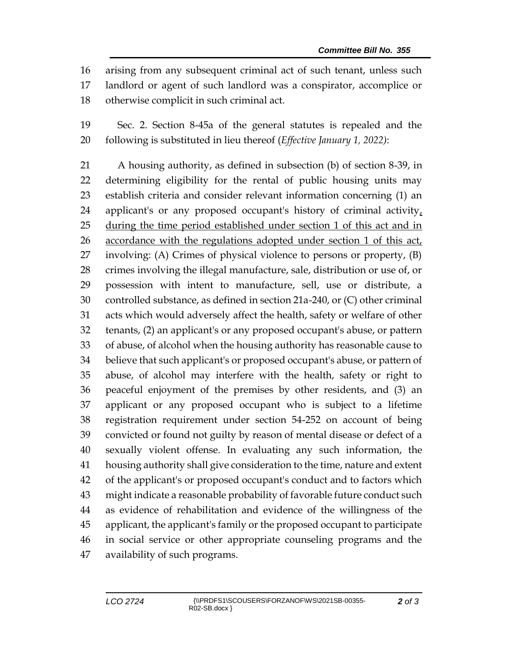arising from any subsequent criminal act of such tenant, unless such landlord or agent of such landlord was a conspirator, accomplice or otherwise complicit in such criminal act.

 Sec. 2. Section 8-45a of the general statutes is repealed and the following is substituted in lieu thereof (*Effective January 1, 2022)*:

 A housing authority, as defined in subsection (b) of section 8-39, in determining eligibility for the rental of public housing units may establish criteria and consider relevant information concerning (1) an 24 applicant's or any proposed occupant's history of criminal activity, during the time period established under section 1 of this act and in accordance with the regulations adopted under section 1 of this act, involving: (A) Crimes of physical violence to persons or property, (B) crimes involving the illegal manufacture, sale, distribution or use of, or possession with intent to manufacture, sell, use or distribute, a controlled substance, as defined in section 21a-240, or (C) other criminal acts which would adversely affect the health, safety or welfare of other tenants, (2) an applicant's or any proposed occupant's abuse, or pattern of abuse, of alcohol when the housing authority has reasonable cause to believe that such applicant's or proposed occupant's abuse, or pattern of abuse, of alcohol may interfere with the health, safety or right to peaceful enjoyment of the premises by other residents, and (3) an applicant or any proposed occupant who is subject to a lifetime registration requirement under section 54-252 on account of being convicted or found not guilty by reason of mental disease or defect of a sexually violent offense. In evaluating any such information, the housing authority shall give consideration to the time, nature and extent of the applicant's or proposed occupant's conduct and to factors which might indicate a reasonable probability of favorable future conduct such as evidence of rehabilitation and evidence of the willingness of the applicant, the applicant's family or the proposed occupant to participate in social service or other appropriate counseling programs and the availability of such programs.